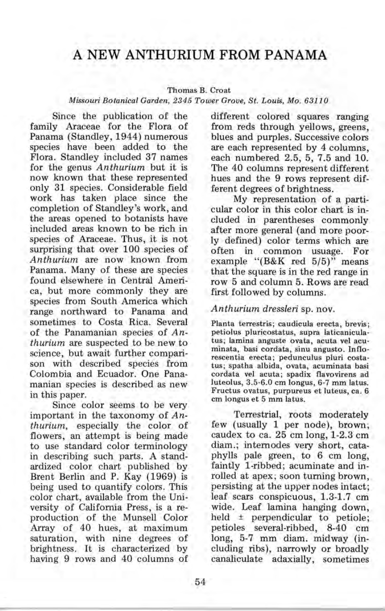# **A NEW ANTHURIUM FROM PANAMA**

### Thomas B. Croat

#### *Missouri Botanical Garden,* 2345 *Tower Grove, St. Louis, Mo. 63110*

Since the publication of the family Araceae for the Flora of Panama (Standley, 1944) numerous species have been added to the Flora. Standley included 37 names for the genus *Anthurium* but it is now known that these represented only 31 species. Considerable field work has taken place since the completion of Standley's work, and the areas opened to botanists have included areas known to be rich in species of Araceae. Thus, it is not surprising that over 100 species of *Anthurium* are now known from Panama. Many of these are species found elsewhere in Central America, but more commonly they are species from South America which range northward to Panama and sometimes to Costa Rica. Several of the Panamanian species of *Anthurium* are suspected to be new to science, but await further comparison with described species from Colombia and Ecuador. One Panamanian species is described as new in this paper.

Since color seems to be very important in the taxonomy of *Anthurium,* especially the color of flowers, an attempt is being made to use standard color terminology in describing such parts. A standardized color chart published by Brent Berlin and P. Kay (1969) is being used to quantify colors. This color chart, available from the University of California Press, is a reproduction of the Munsell Color Array of 40 hues, at maximum saturation, with nine degrees of brightness. It is characterized by having 9 rows and 40 columns of

different colored squares ranging from reds through yellows, greens, blues and purples. Successive colors are each represented by 4 columns, each numbered 2.5, 5, 7.5 and 10. The 40 columns represent different hues and the 9 rows represent different degrees of brightness.

My representation of a particular color in this color chart is included in parentheses commonly after more general (and more poorly defined) color terms which are often in common usuage. For example "(B&K red 5/5)" means that the square is in the red range in row 5 and column 5. Rows are read first followed by columns.

## *Anthurium dressleri* sp. nov.

Planta terrestris; caudicula erecta, brevis; petiolus pluricostatus, supra laticaniculatus; lamina anguste ovata, acuta vel acuminata, basi cordata, sinu angusto. Inflorescentia erecta; pedunculus pluri costatus; spatha albida, ovata, acuminata basi cordata vel acuta; spadix flavovirens ad luteolus, 3.5-6.0 cm longus, 6-7 mm latus. Fructus ovatus, purpureus et luteus, ca. 6 em longus et 5 mm latus.

Terrestrial, roots moderately few (usually 1 per node), brown; caudex to ca. 25 cm long, 1-2.3 cm diam.; internodes very short, cataphylls pale green, to 6 cm long, faintly I-ribbed; acuminate and inrolled at apex; soon turning brown, persisting at the upper nodes intact; leaf scars conspicuous, 1.3-1.7 cm wide. Leaf lamina hanging down, held ± perpendicular to petiole; petioles several-ribbed, 8-40 cm long, 5-7 mm diam. midway (including ribs), narrowly or broadly canaliculate adaxially, sometimes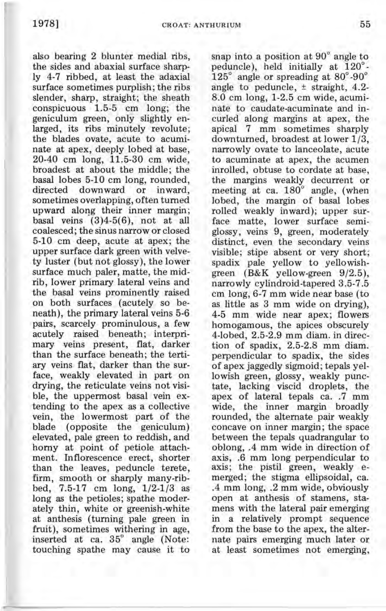also bearing 2 blunter medial ribs, the sides and abaxial surface sharply 4-7 ribbed, at least the adaxial surface sometimes purplish; the ribs slender, sharp, straight; the sheath conspicuous 1.5-5 cm long; the geniculum green, only slightly enlarged, its ribs minutely revolute; the blades ovate, acute to acuminate at apex, deeply lobed at base, 20-40 cm long, 11.5-30 cm wide, broadest at about the middle; the basal lobes 5-10 cm long, rounded, directed downward or inward, sometimes overlapping, often turned upward along their inner margin; basal veins  $(3)4-5(6)$ , not at all coalesced; the sinus narrow or closed 5-10 cm deep, acute at apex; the upper surface dark green with velvety luster (but not glossy), the lower surface much paler, matte, the midrib, lower primary lateral veins and the basal veins prominently raised on both surfaces (acutely so beneath), the primary lateral veins 5-6 pairs, scarcely prominulous, a few acutely raised beneath; interprimary veins present, flat, darker than the surface beneath; the tertiary veins flat, darker than the surface, weakly elevated in part on drying, the reticulate veins not visible, the uppermost basal vein extending to the apex as a collective vein, the lowermost part of the blade (opposite the geniculum) elevated, pale green to reddish, and horny at point of petiole attachment. Inflorescence erect, shorter than the leaves, peduncle terete, firm, smooth or sharply many-ribbed, 7.5-17 cm long, 1/2-1/3 as long as the petioles; spathe moderately thin, white or greenish-white at anthesis (turning pale green in fruit), sometimes withering in age, inserted at ca. 35° angle (Note: touching spathe may cause it to

snap into a position at 90° angle to peduncle), held initially at 120°-  $125^\circ$  angle or spreading at  $80^\circ$ -90 $^\circ$ angle to peduncle, ± straight, 4.2- 8.0 cm long, 1-2.5 cm wide, acuminate to caudate-acuminate and incurled along margins at apex, the apical '7 mm sometimes sharply downturned, broadest at lower 1/3, narrowly ovate to lanceolate, acute to acuminate at apex, the acumen inrolled, obtuse to cordate at base, the margins weakly decurrent or meeting at ca. 180° angle, (when lobed, the margin of basal lobes rolled weakly inward); upper surface matte, lower surface semiglossy, veins 9, green, moderately distinct, even the secondary veins visible; stipe absent or very short; spadix pale yellow to yellowishgreen (B&K yellow-green 9/2.5), narrowly cylindroid-tapered 3.5-7.5 cm long, 6-7 mm wide near base (to as little as 3 mm wide on drying), 4-5 mm wide near apex; flowers homogamous, the apices obscurely 4-lobed, 2.5-2.9 mm diam. in direction of spadix, 2.5-2.8 mm diam. perpendicular to spadix, the sides of apex jaggedly sigmoid; tepals yellowish green, glossy, weakly punctate, lacking viscid droplets, the apex of lateral tepals ca. .7 mm wide, the inner margin broadly rounded, the alternate pair weakly concave on inner margin; the space between the tepals quadrangular to oblong, .4 mm wide in direction of axis, .6 mm long perpendicular to axis; the pistil green, weakly emerged; the stigma ellipsoidal, ca. .4 mm long, .2 mm wide, obviously open at anthesis of stamens, stamens with the lateral pair emerging in a relatively prompt sequence from the base to the apex, the alternate pairs emerging much later or at least sometimes not emerging,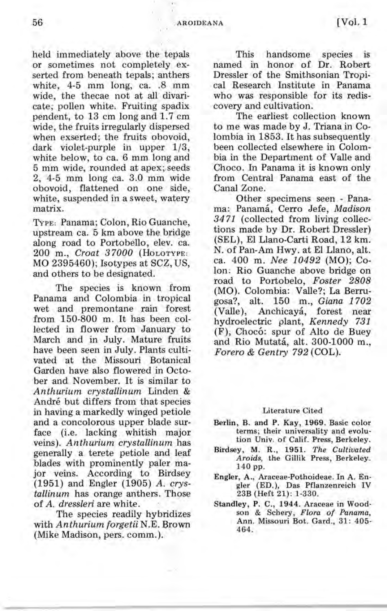held immediately above the tepals or sometimes not completely exserted from beneath tepals; anthers white, 4-5 mm long, ca. .8 mm wide, the thecae not at all divaricate; pollen white. Fruiting' spadix pendent, to 13 cm long and 1.7 cm wide, the fruits irregularly dispersed when exserted; the fruits obovoid, dark violet-purple in upper 1/3, white below, to ca. 6 mm long and 5 mm wide, rounded at apex; seeds  $2, 4-5$  mm long ca.  $3.0$  mm wide obovoid, flattened on one side, white, suspended in a sweet, watery matrix.

TYPE: Panama; Colon, Rio Guanche, upstream ca. 5 km above the bridge along road to Portobello, elev. ca. 200 m., *Croat 37000* (HOLOTYPE: MO 2395460); Isotypes at SCZ, US, and others to be designated.

The species is known from Panama and Colombia in tropical wet and premontane rain forest from 150-800 m. It has been collected in flower from January to March and in July. Mature fruits have been seen in July. Plants cultivated at the Missouri Botanical Garden have also flowered in October and November. It is similar to *Anthurium crystallinum* Linden & André but differs from that species in having a markedly winged petiole and a concolorous upper blade surface (i.e. lacking whitish major veins). *Anthurium crystallinum* has generally a terete petiole and leaf blades with prominently paler major veins. According to Birdsey (1951) and Engler (1905) *A. qrystallinum* has orange anthers. Those of *A. dressleri* are white.

The species readily hybridizes with *Anthurium forgetii* N.E. Brown (Mike Madison, pers. comm.).

This handsome species is named in honor of Dr. Robert Dressler of the Smithsonian Tropical Research Institute in Panama who was responsible for its rediscovery and cultivation.

The earliest collection known to me was made by J. Triana in Colombia in 1853. It has subsequently been collected elsewhere in Colombia in the Department of Valle and Choco. In Panama it is known only from Central Panama east of the Canal Zone.

Other specimens seen - Panama: Panama, Cerro Jefe, *Madison*  3471 (collected from living collections made by Dr. Robert Dressler) (SEL), EI Llano-Carti Road, 12 km. N. of Pan-Am Hwy. at EI Llano, alt. ca. 400 m. *Nee 10492* (MO); Colon: Rio Guanche above bridge on road to Portobelo, *Foster 2808*  (MO). Colombia: Valle?; La Berrugosa?, alt. 150 m., *Giana 1702*  (Valle), Anchicaya, forest near hydroelectric plant, *Kennedy 731*  (F), Choco: spur of Alto de Buey and Rio Mutata, alt. 300-1000 m., *Forero* & *Gentry* 792 (COL).

#### Literature Cited

- Berlin, B. and P. Kay, 1969. Basic color terms; their universality and evolution Univ. of Calif. Press, Berkeley.
- Birdsey, M. R., 1951. *The Cultivated Aroids,* the Gillik Press, Berkeley. 140 pp.
- Engler, A., Araceae-Pothoideae. In A. Engler (ED.), Das Pflanzenreich IV 23B (Heft 21) : 1-330.
- Standley, P. C., 1944. Araceae in Woodson & Schery, *Flora of Panama,*  Ann. Missouri Bot. Gard., 31: 405- 464.